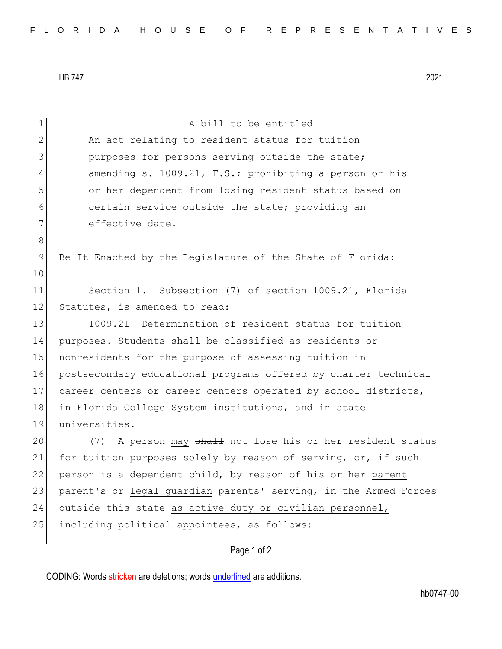HB 747 2021

| An act relating to resident status for tuition                   |
|------------------------------------------------------------------|
| purposes for persons serving outside the state;                  |
| amending s. 1009.21, F.S.; prohibiting a person or his           |
| or her dependent from losing resident status based on            |
| certain service outside the state; providing an                  |
| effective date.                                                  |
|                                                                  |
| Be It Enacted by the Legislature of the State of Florida:        |
|                                                                  |
| Section 1. Subsection (7) of section 1009.21, Florida            |
| Statutes, is amended to read:                                    |
| 1009.21 Determination of resident status for tuition             |
| purposes.-Students shall be classified as residents or           |
| nonresidents for the purpose of assessing tuition in             |
| postsecondary educational programs offered by charter technical  |
| career centers or career centers operated by school districts,   |
| in Florida College System institutions, and in state             |
| universities.                                                    |
| A person may shall not lose his or her resident status<br>(7)    |
| for tuition purposes solely by reason of serving, or, if such    |
| person is a dependent child, by reason of his or her parent      |
| parent's or legal quardian parents' serving, in the Armed Forces |
| outside this state as active duty or civilian personnel,         |
| including political appointees, as follows:                      |
| Page 1 of 2                                                      |
|                                                                  |

CODING: Words stricken are deletions; words underlined are additions.